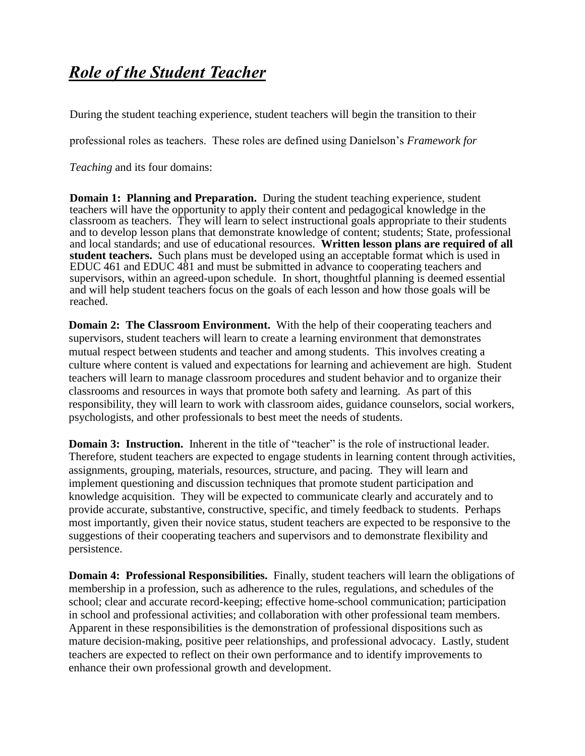## *Role of the Student Teacher*

During the student teaching experience, student teachers will begin the transition to their

professional roles as teachers. These roles are defined using Danielson's *Framework for* 

*Teaching* and its four domains:

**Domain 1: Planning and Preparation.** During the student teaching experience, student teachers will have the opportunity to apply their content and pedagogical knowledge in the classroom as teachers. They will learn to select instructional goals appropriate to their students and to develop lesson plans that demonstrate knowledge of content; students; State, professional and local standards; and use of educational resources. **Written lesson plans are required of all student teachers.** Such plans must be developed using an acceptable format which is used in EDUC 461 and EDUC 481 and must be submitted in advance to cooperating teachers and supervisors, within an agreed-upon schedule. In short, thoughtful planning is deemed essential and will help student teachers focus on the goals of each lesson and how those goals will be reached.

**Domain 2: The Classroom Environment.** With the help of their cooperating teachers and supervisors, student teachers will learn to create a learning environment that demonstrates mutual respect between students and teacher and among students. This involves creating a culture where content is valued and expectations for learning and achievement are high. Student teachers will learn to manage classroom procedures and student behavior and to organize their classrooms and resources in ways that promote both safety and learning. As part of this responsibility, they will learn to work with classroom aides, guidance counselors, social workers, psychologists, and other professionals to best meet the needs of students.

**Domain 3: Instruction.** Inherent in the title of "teacher" is the role of instructional leader. Therefore, student teachers are expected to engage students in learning content through activities, assignments, grouping, materials, resources, structure, and pacing. They will learn and implement questioning and discussion techniques that promote student participation and knowledge acquisition. They will be expected to communicate clearly and accurately and to provide accurate, substantive, constructive, specific, and timely feedback to students. Perhaps most importantly, given their novice status, student teachers are expected to be responsive to the suggestions of their cooperating teachers and supervisors and to demonstrate flexibility and persistence.

**Domain 4: Professional Responsibilities.** Finally, student teachers will learn the obligations of membership in a profession, such as adherence to the rules, regulations, and schedules of the school; clear and accurate record-keeping; effective home-school communication; participation in school and professional activities; and collaboration with other professional team members. Apparent in these responsibilities is the demonstration of professional dispositions such as mature decision-making, positive peer relationships, and professional advocacy. Lastly, student teachers are expected to reflect on their own performance and to identify improvements to enhance their own professional growth and development.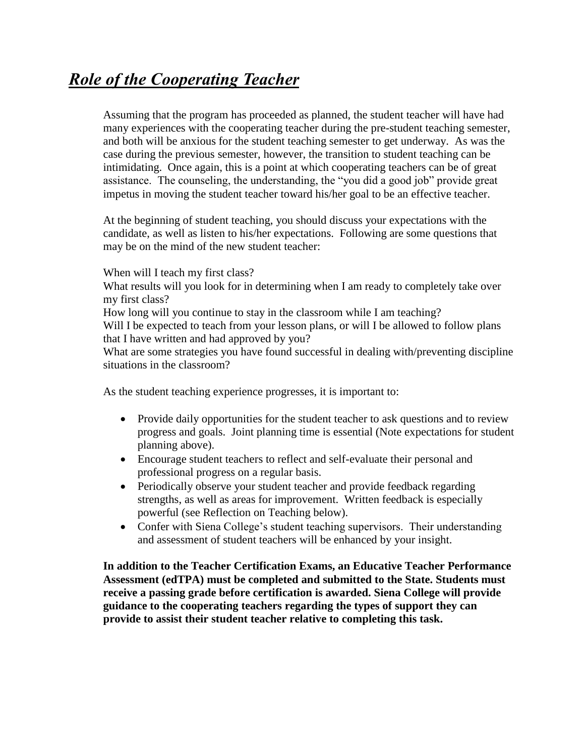## *Role of the Cooperating Teacher*

Assuming that the program has proceeded as planned, the student teacher will have had many experiences with the cooperating teacher during the pre-student teaching semester, and both will be anxious for the student teaching semester to get underway. As was the case during the previous semester, however, the transition to student teaching can be intimidating. Once again, this is a point at which cooperating teachers can be of great assistance. The counseling, the understanding, the "you did a good job" provide great impetus in moving the student teacher toward his/her goal to be an effective teacher.

At the beginning of student teaching, you should discuss your expectations with the candidate, as well as listen to his/her expectations. Following are some questions that may be on the mind of the new student teacher:

When will I teach my first class?

What results will you look for in determining when I am ready to completely take over my first class?

How long will you continue to stay in the classroom while I am teaching?

Will I be expected to teach from your lesson plans, or will I be allowed to follow plans that I have written and had approved by you?

What are some strategies you have found successful in dealing with/preventing discipline situations in the classroom?

As the student teaching experience progresses, it is important to:

- Provide daily opportunities for the student teacher to ask questions and to review progress and goals. Joint planning time is essential (Note expectations for student planning above).
- Encourage student teachers to reflect and self-evaluate their personal and professional progress on a regular basis.
- Periodically observe your student teacher and provide feedback regarding strengths, as well as areas for improvement. Written feedback is especially powerful (see Reflection on Teaching below).
- Confer with Siena College's student teaching supervisors. Their understanding and assessment of student teachers will be enhanced by your insight.

**In addition to the Teacher Certification Exams, an Educative Teacher Performance Assessment (edTPA) must be completed and submitted to the State. Students must receive a passing grade before certification is awarded. Siena College will provide guidance to the cooperating teachers regarding the types of support they can provide to assist their student teacher relative to completing this task.**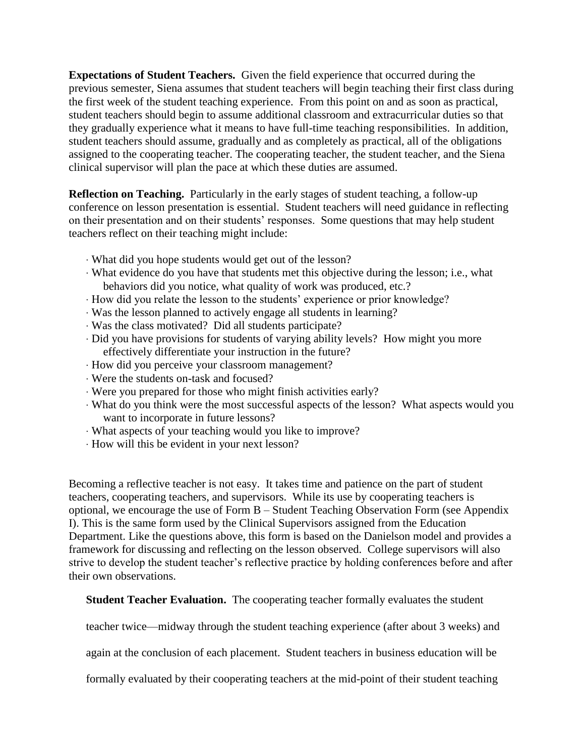**Expectations of Student Teachers.** Given the field experience that occurred during the previous semester, Siena assumes that student teachers will begin teaching their first class during the first week of the student teaching experience. From this point on and as soon as practical, student teachers should begin to assume additional classroom and extracurricular duties so that they gradually experience what it means to have full-time teaching responsibilities. In addition, student teachers should assume, gradually and as completely as practical, all of the obligations assigned to the cooperating teacher. The cooperating teacher, the student teacher, and the Siena clinical supervisor will plan the pace at which these duties are assumed.

**Reflection on Teaching.** Particularly in the early stages of student teaching, a follow-up conference on lesson presentation is essential. Student teachers will need guidance in reflecting on their presentation and on their students' responses. Some questions that may help student teachers reflect on their teaching might include:

- · What did you hope students would get out of the lesson?
- · What evidence do you have that students met this objective during the lesson; i.e., what behaviors did you notice, what quality of work was produced, etc.?
- · How did you relate the lesson to the students' experience or prior knowledge?
- · Was the lesson planned to actively engage all students in learning?
- · Was the class motivated? Did all students participate?
- · Did you have provisions for students of varying ability levels? How might you more effectively differentiate your instruction in the future?
- · How did you perceive your classroom management?
- · Were the students on-task and focused?
- · Were you prepared for those who might finish activities early?
- · What do you think were the most successful aspects of the lesson? What aspects would you want to incorporate in future lessons?
- · What aspects of your teaching would you like to improve?
- · How will this be evident in your next lesson?

Becoming a reflective teacher is not easy. It takes time and patience on the part of student teachers, cooperating teachers, and supervisors. While its use by cooperating teachers is optional, we encourage the use of Form B – Student Teaching Observation Form (see Appendix I). This is the same form used by the Clinical Supervisors assigned from the Education Department. Like the questions above, this form is based on the Danielson model and provides a framework for discussing and reflecting on the lesson observed. College supervisors will also strive to develop the student teacher's reflective practice by holding conferences before and after their own observations.

**Student Teacher Evaluation.** The cooperating teacher formally evaluates the student

teacher twice—midway through the student teaching experience (after about 3 weeks) and

again at the conclusion of each placement. Student teachers in business education will be

formally evaluated by their cooperating teachers at the mid-point of their student teaching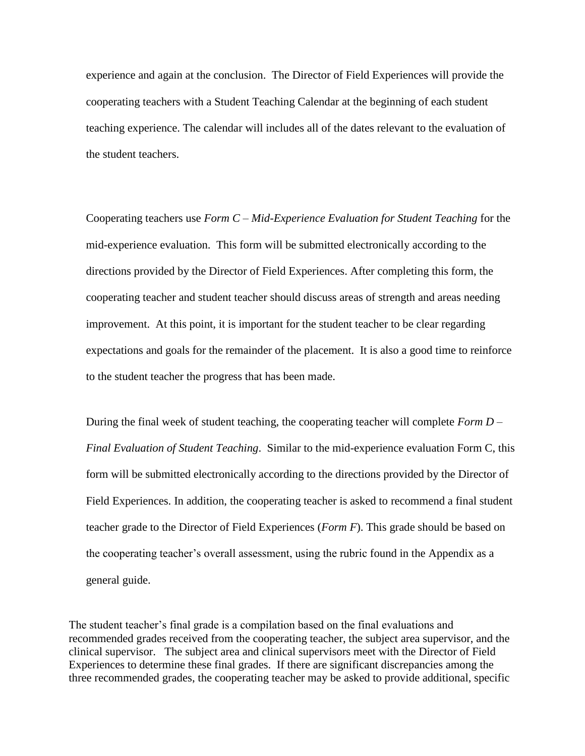experience and again at the conclusion. The Director of Field Experiences will provide the cooperating teachers with a Student Teaching Calendar at the beginning of each student teaching experience. The calendar will includes all of the dates relevant to the evaluation of the student teachers.

Cooperating teachers use *Form C – Mid-Experience Evaluation for Student Teaching* for the mid-experience evaluation. This form will be submitted electronically according to the directions provided by the Director of Field Experiences. After completing this form, the cooperating teacher and student teacher should discuss areas of strength and areas needing improvement. At this point, it is important for the student teacher to be clear regarding expectations and goals for the remainder of the placement. It is also a good time to reinforce to the student teacher the progress that has been made.

During the final week of student teaching, the cooperating teacher will complete *Form D – Final Evaluation of Student Teaching*. Similar to the mid-experience evaluation Form C, this form will be submitted electronically according to the directions provided by the Director of Field Experiences. In addition, the cooperating teacher is asked to recommend a final student teacher grade to the Director of Field Experiences (*Form F*). This grade should be based on the cooperating teacher's overall assessment, using the rubric found in the Appendix as a general guide.

The student teacher's final grade is a compilation based on the final evaluations and recommended grades received from the cooperating teacher, the subject area supervisor, and the clinical supervisor. The subject area and clinical supervisors meet with the Director of Field Experiences to determine these final grades. If there are significant discrepancies among the three recommended grades, the cooperating teacher may be asked to provide additional, specific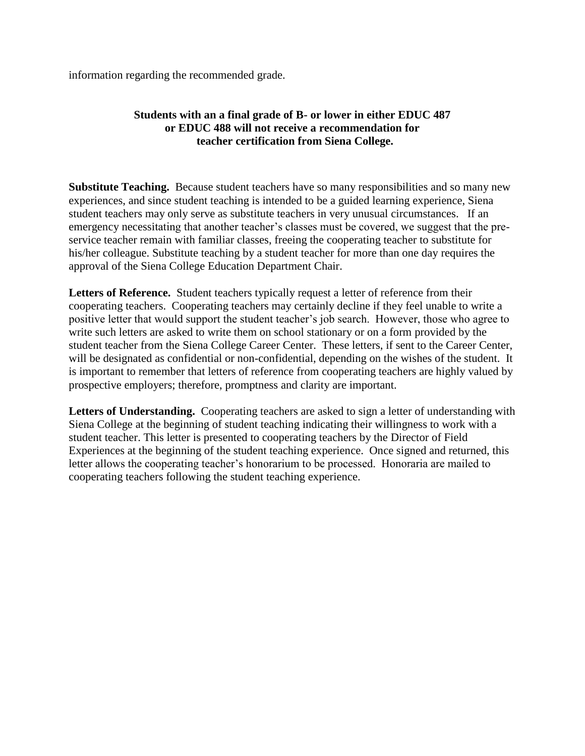information regarding the recommended grade.

## **Students with an a final grade of B- or lower in either EDUC 487 or EDUC 488 will not receive a recommendation for teacher certification from Siena College.**

**Substitute Teaching.** Because student teachers have so many responsibilities and so many new experiences, and since student teaching is intended to be a guided learning experience, Siena student teachers may only serve as substitute teachers in very unusual circumstances. If an emergency necessitating that another teacher's classes must be covered, we suggest that the preservice teacher remain with familiar classes, freeing the cooperating teacher to substitute for his/her colleague. Substitute teaching by a student teacher for more than one day requires the approval of the Siena College Education Department Chair.

**Letters of Reference.** Student teachers typically request a letter of reference from their cooperating teachers. Cooperating teachers may certainly decline if they feel unable to write a positive letter that would support the student teacher's job search. However, those who agree to write such letters are asked to write them on school stationary or on a form provided by the student teacher from the Siena College Career Center. These letters, if sent to the Career Center, will be designated as confidential or non-confidential, depending on the wishes of the student. It is important to remember that letters of reference from cooperating teachers are highly valued by prospective employers; therefore, promptness and clarity are important.

Letters of Understanding. Cooperating teachers are asked to sign a letter of understanding with Siena College at the beginning of student teaching indicating their willingness to work with a student teacher. This letter is presented to cooperating teachers by the Director of Field Experiences at the beginning of the student teaching experience. Once signed and returned, this letter allows the cooperating teacher's honorarium to be processed. Honoraria are mailed to cooperating teachers following the student teaching experience.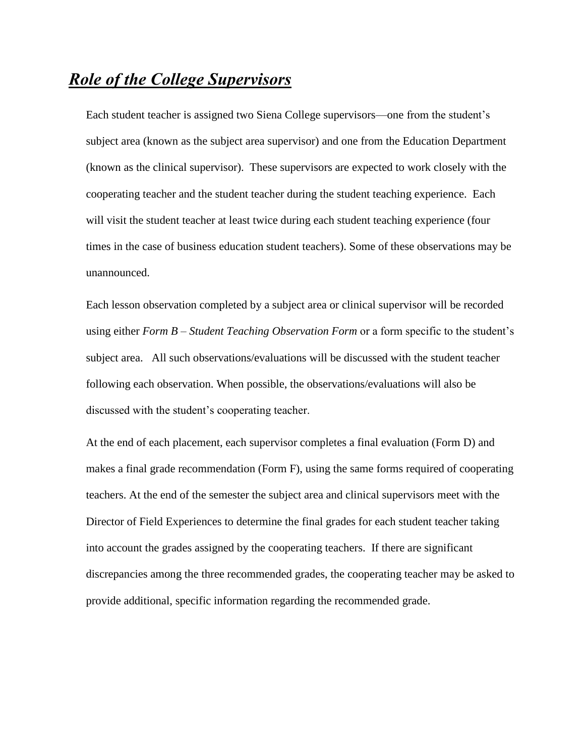## *Role of the College Supervisors*

Each student teacher is assigned two Siena College supervisors—one from the student's subject area (known as the subject area supervisor) and one from the Education Department (known as the clinical supervisor). These supervisors are expected to work closely with the cooperating teacher and the student teacher during the student teaching experience. Each will visit the student teacher at least twice during each student teaching experience (four times in the case of business education student teachers). Some of these observations may be unannounced.

Each lesson observation completed by a subject area or clinical supervisor will be recorded using either *Form B – Student Teaching Observation Form* or a form specific to the student's subject area. All such observations/evaluations will be discussed with the student teacher following each observation. When possible, the observations/evaluations will also be discussed with the student's cooperating teacher.

At the end of each placement, each supervisor completes a final evaluation (Form D) and makes a final grade recommendation (Form F), using the same forms required of cooperating teachers. At the end of the semester the subject area and clinical supervisors meet with the Director of Field Experiences to determine the final grades for each student teacher taking into account the grades assigned by the cooperating teachers. If there are significant discrepancies among the three recommended grades, the cooperating teacher may be asked to provide additional, specific information regarding the recommended grade.